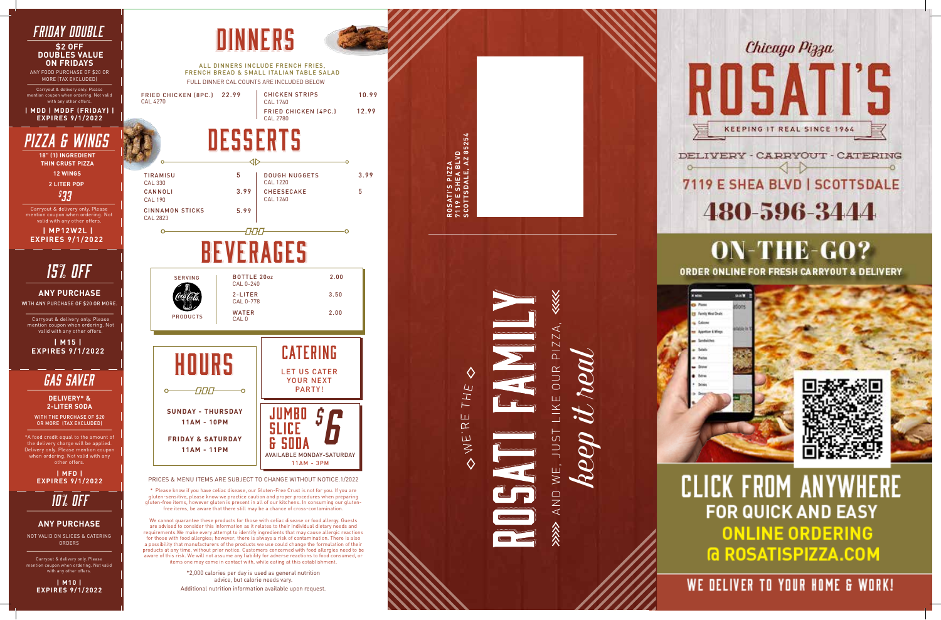*keep it real*

Chicago Pizza



# 7119 E SHEA BLVD | SCOTTSDALE 480-596-3444

DELIVERY - CARRYOUT - CATERING

## **ON-THE-GO?** ORDER ONLINE FOR FRESH CARRYOUT & DELIVERY



**CLICK FROM ANYWHERE FOR QUICK AND EASY ONLINE ORDERING G ROSATISPIZZA.COM** 

WE DELIVER TO YOUR HOME & WORK!

#### *fRIDAY DOUBLE* DINNERS **\$2 OFF DOUBLES VALUE ON FRIDAYS** ALL DINNERS INCLUDE FRENCH FRIES, ANY FOOD PURCHASE OF \$20 OR FRENCH BREAD & SMALL ITALIAN TABLE SALAD MORE (TAX EXCLUDED) FULL DINNER CAL COUNTS ARE INCLUDED BELOW Carryout & delivery only. Please FRIED CHICKEN (8PC.) 22.99 pon when ordering. Not valid CAL 4270 with any other offers. **| MDD | MDDF (FRIDAY) | EXPIRES 9/1/2022** DESSERTS *PIZZA & WINGS* **18" (1) INGREDIENT THIN CRUST PIZZA 12 WINGS** TIRAMISU 4. The must be a stronger the problem in the state of the state of the state of the state of the state of the state of the state of the state of the state of the state of the state of the state of the state of the state **2 LITER POP** CAL 330 CANNOLI 3.99 *\$ 33* CAL 190 Carryout & delivery only. Please CINNAMON STICKS 5.99 ention coupon when ordering. No CAL 2823 valid with any other offers.  **| MP12W2L | EXPIRES 9/1/2022BEVERAGES** *15% OFF*  SERVING **BOTTLE 2007** 2.00 CAL 0-240 **ANY PURCHASE** 2-LITER 3.50 CAL 0-778 WITH ANY PURCHASE OF \$20 OR MORE. WATER 2.00 PRODUCTS Carryout & delivery only. Please CAL 0 mention coupon when ordering. Not valid with any other offers. **| M15 | EXPIRES 9/1/2022** HOURS HOURS *GAS SAVER*  $\circ$ **DELIVERY\* & 2-LITER SODA SUNDAY - THURSDAY** WITH THE PURCHASE OF \$20 **11AM - 10PM** OR MORE (TAX EXCLUDED) \*A food credit equal to the amount of **FRIDAY & SATURDAY** the delivery charge will be applied. Delivery only. Please mention coupon **11AM - 11PM** when ordering. Not valid with any other offers . **| MFD |**  PRICES & MENU ITEMS ARE SUBJECT TO CHANGE WITHOUT NOTICE.1/2022 **EXPIRES 9/1/2022** \* Please know if you have celiac disease, our Gluten-Free Crust is not for you. If you are *10% OFF* gluten-sensitive, please know we practice caution and proper procedures when preparing gluten-free items, however gluten is present in all of our kitchens. In consuming our glutenfree items, be aware that there still may be a chance of cross-contamination. We cannot guarantee these products for those with celiac disease or food allergy. Guests **ANY PURCHASE** are advised to consider this information as it relates to their individual dietary needs and requirements.We make every attempt to identify ingredients that may cause allergic reactions NOT VALID ON SLICES & CATERING for those with food allergies; however, there is always a risk of contamination. There is also ORDERS a possibility that manufacturers of the products we use could change the formulation of their products at any time, without prior notice. Customers concerned with food allergies need to be aware of this risk. We will not assume any liability for adverse reactions to food consumed, or Carryout & delivery only. Please items one may come in contact with, while eating at this establishment. coupon when ordering. Not valid with any other offers. \*2,000 calories per day is used as general nutrition advice, but calorie needs vary. **| M10 | EXPIRES 9/1/2022**

# TI'S PIZZA<br>E SHEA BLVD<br>TSDALE, AZ 85254 **SCOTTSDALE, AZ 85254 7119 E SHEA BLVD ROSATI'S PIZZA** ⋘ AND WE, JUST LIKE OUR PIZZA, KE OUR PIZZA THE ш  $\propto$ **LSUL**  $\mathbf{\dot{\boldsymbol{\mu}}}$  $\geq$  $WE$ . IOND 公众人

3.99

5

AVAILABLE MONDAY-SATURDAY

DOUGH NUGGETS

CAL 1220

CHEESECAKE CAL 1260

CHICKEN STRIPS

FRIED CHICKEN (4PC.) 12.99

CAL 1740

LET US CATER YOUR NEXT PARTY!

CATERING

**BO \$6**<br>FE MONDAY-SATUR<br>11AM - 3PM

10.99

CAL 2780